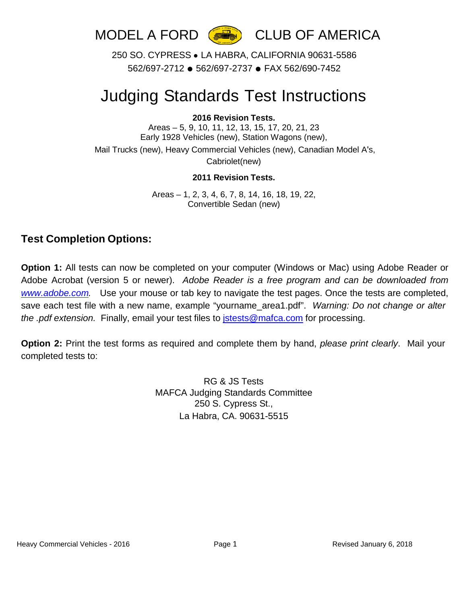

250 SO. CYPRESS ● LA HABRA, CALIFORNIA 90631-5586 562/697-2712 ● 562/697-2737 ● FAX 562/690-7452

# Judging Standards Test Instructions

### **2016 Revision Tests.**

Areas – 5, 9, 10, 11, 12, 13, 15, 17, 20, 21, 23 Early 1928 Vehicles (new), Station Wagons (new), Mail Trucks (new), Heavy Commercial Vehicles (new), Canadian Model A's,

Cabriolet(new)

#### **2011 Revision Tests.**

Areas – 1, 2, 3, 4, 6, 7, 8, 14, 16, 18, 19, 22, Convertible Sedan (new)

### **Test Completion Options:**

**Option 1:** All tests can now be completed on your computer (Windows or Mac) using Adobe Reader or Adobe Acrobat (version 5 or newer). *Adobe Reader is a free program and can be downloaded from [www.adobe.com.](http://www.adobe.com/)* Use your mouse or tab key to navigate the test pages. Once the tests are completed, save each test file with a new name, example "yourname\_area1.pdf". *Warning: Do not change or alter the .pdf extension.* Finally, email your test files to [jstests@mafca.com](mailto:jstests@mafca.com) for processing.

**Option 2:** Print the test forms as required and complete them by hand, *please print clearly*. Mail your completed tests to:

> RG & JS Tests MAFCA Judging Standards Committee 250 S. Cypress St., La Habra, CA. 90631-5515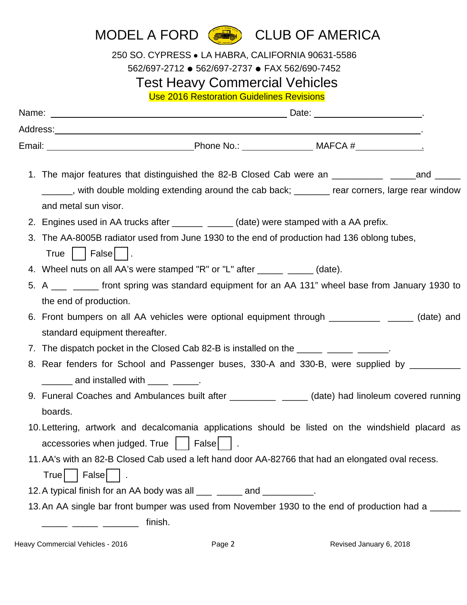## MODEL A FORD **(BUD** CLUB OF AMERICA

250 SO. CYPRESS ● LA HABRA, CALIFORNIA 90631-5586

562/697-2712 ● 562/697-2737 ● FAX 562/690-7452

## Test Heavy Commercial Vehicles

Use 2016 Restoration Guidelines Revisions

| Email: ___________________________________Phone No.: ____________________MAFCA #__________________                                                                                                                             |
|--------------------------------------------------------------------------------------------------------------------------------------------------------------------------------------------------------------------------------|
| 1. The major features that distinguished the 82-B Closed Cab were an ____________ _____and ______<br>_____, with double molding extending around the cab back; _______ rear corners, large rear window<br>and metal sun visor. |
| 2. Engines used in AA trucks after ________ _____ (date) were stamped with a AA prefix.                                                                                                                                        |
| 3. The AA-8005B radiator used from June 1930 to the end of production had 136 oblong tubes,<br>True $\vert$   False   $\vert$ .                                                                                                |
| 4. Wheel nuts on all AA's were stamped "R" or "L" after ______ _____ (date).                                                                                                                                                   |
| 5. A ___ ____ front spring was standard equipment for an AA 131" wheel base from January 1930 to                                                                                                                               |
| the end of production.                                                                                                                                                                                                         |
| 6. Front bumpers on all AA vehicles were optional equipment through _____________ _____ (date) and                                                                                                                             |
| standard equipment thereafter.                                                                                                                                                                                                 |
| 7. The dispatch pocket in the Closed Cab 82-B is installed on the _____________________.                                                                                                                                       |
| 8. Rear fenders for School and Passenger buses, 330-A and 330-B, were supplied by _________                                                                                                                                    |
| ______ and installed with ____ _____.                                                                                                                                                                                          |
| 9. Funeral Coaches and Ambulances built after ____________ _____ (date) had linoleum covered running                                                                                                                           |
| boards.                                                                                                                                                                                                                        |
| 10. Lettering, artwork and decalcomania applications should be listed on the windshield placard as<br>accessories when judged. True   False   .                                                                                |
| 11. AA's with an 82-B Closed Cab used a left hand door AA-82766 that had an elongated oval recess.                                                                                                                             |
| False $  \cdot  $ .<br>True                                                                                                                                                                                                    |
| 12. A typical finish for an AA body was all ___ _____ and __________.                                                                                                                                                          |
| 13. An AA single bar front bumper was used from November 1930 to the end of production had a _____                                                                                                                             |
| finish.                                                                                                                                                                                                                        |

Heavy Commercial Vehicles - 2016 **Page 2** Revised January 6, 2018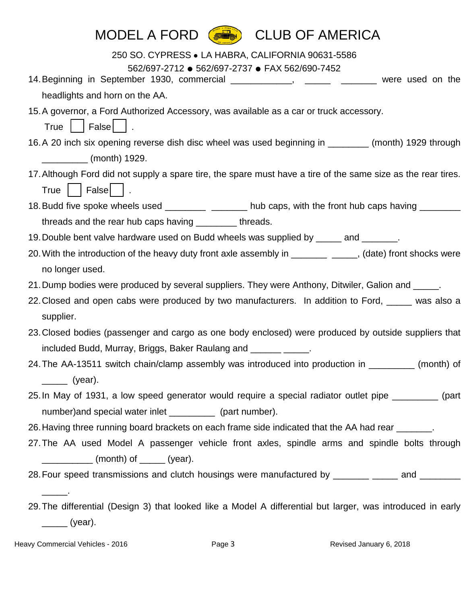| MODEL A FORD<br><b>CLUB OF AMERICA</b><br>「緑山」                                                                              |
|-----------------------------------------------------------------------------------------------------------------------------|
| 250 SO. CYPRESS . LA HABRA, CALIFORNIA 90631-5586                                                                           |
| 562/697-2712 · 562/697-2737 · FAX 562/690-7452                                                                              |
| 14. Beginning in September 1930, commercial ____________, ______ ______ were used on the                                    |
| headlights and horn on the AA.                                                                                              |
| 15. A governor, a Ford Authorized Accessory, was available as a car or truck accessory.<br>True $\vert$   False   $\vert$ . |
| 16. A 20 inch six opening reverse dish disc wheel was used beginning in ________ (month) 1929 through                       |
| __________ (month) 1929.                                                                                                    |
| 17. Although Ford did not supply a spare tire, the spare must have a tire of the same size as the rear tires.               |
| False $\vert \ \ \vert$ .<br>$True$ $ $                                                                                     |
| 18. Budd five spoke wheels used ____________ ________ hub caps, with the front hub caps having ______                       |
| threads and the rear hub caps having __________ threads.                                                                    |
| 19. Double bent valve hardware used on Budd wheels was supplied by _____ and _______.                                       |
| 20. With the introduction of the heavy duty front axle assembly in ______________, (date) front shocks were                 |
| no longer used.                                                                                                             |
| 21. Dump bodies were produced by several suppliers. They were Anthony, Ditwiler, Galion and _____.                          |
| 22. Closed and open cabs were produced by two manufacturers. In addition to Ford, was also a                                |
| supplier.                                                                                                                   |
| 23. Closed bodies (passenger and cargo as one body enclosed) were produced by outside suppliers that                        |
| included Budd, Murray, Briggs, Baker Raulang and _____________.                                                             |
| 24. The AA-13511 switch chain/clamp assembly was introduced into production in ________ (month) of                          |
| _______ (year).                                                                                                             |
| 25. In May of 1931, a low speed generator would require a special radiator outlet pipe _________ (part                      |
| number) and special water inlet ____________ (part number).                                                                 |
| 26. Having three running board brackets on each frame side indicated that the AA had rear _______.                          |
| 27. The AA used Model A passenger vehicle front axles, spindle arms and spindle bolts through                               |
| (month) of _____ (year).                                                                                                    |
| 28. Four speed transmissions and clutch housings were manufactured by _______ ____ and _______                              |
|                                                                                                                             |
| 29. The differential (Design 3) that looked like a Model A differential but larger, was introduced in early                 |

\_\_\_\_\_\_ (year).

Heavy Commercial Vehicles - 2016 **Page 3** Page 3 Revised January 6, 2018